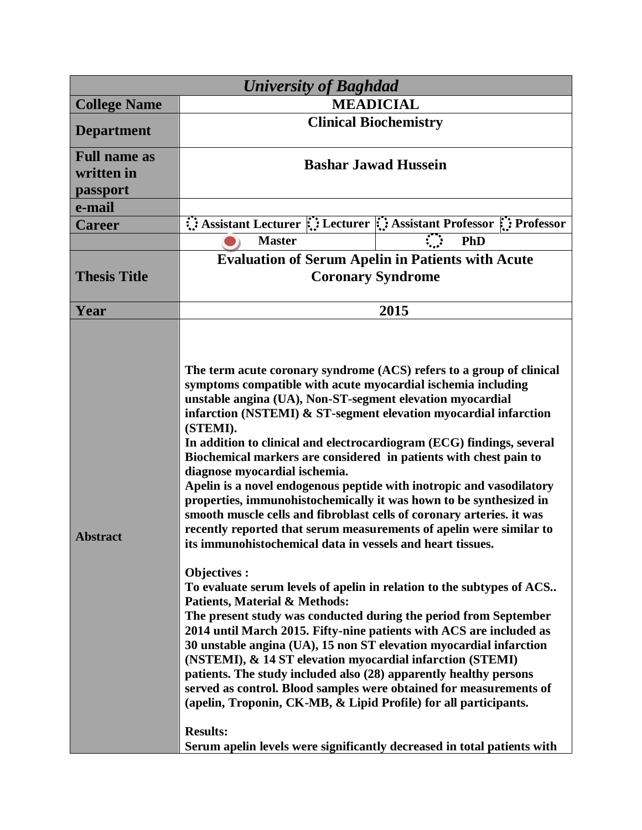| <b>University of Baghdad</b>                  |                                                                                                                                                                                                                                                                                                                                                                                                                                                                                                                                                                                                                                                                                                                                                                                                                                                                                                                                                                                                                                                                                                                                                                                                                                                                                                                                                                                                                                                                                                                                                                    |
|-----------------------------------------------|--------------------------------------------------------------------------------------------------------------------------------------------------------------------------------------------------------------------------------------------------------------------------------------------------------------------------------------------------------------------------------------------------------------------------------------------------------------------------------------------------------------------------------------------------------------------------------------------------------------------------------------------------------------------------------------------------------------------------------------------------------------------------------------------------------------------------------------------------------------------------------------------------------------------------------------------------------------------------------------------------------------------------------------------------------------------------------------------------------------------------------------------------------------------------------------------------------------------------------------------------------------------------------------------------------------------------------------------------------------------------------------------------------------------------------------------------------------------------------------------------------------------------------------------------------------------|
| <b>College Name</b>                           | <b>MEADICIAL</b>                                                                                                                                                                                                                                                                                                                                                                                                                                                                                                                                                                                                                                                                                                                                                                                                                                                                                                                                                                                                                                                                                                                                                                                                                                                                                                                                                                                                                                                                                                                                                   |
| <b>Department</b>                             | <b>Clinical Biochemistry</b>                                                                                                                                                                                                                                                                                                                                                                                                                                                                                                                                                                                                                                                                                                                                                                                                                                                                                                                                                                                                                                                                                                                                                                                                                                                                                                                                                                                                                                                                                                                                       |
| <b>Full name as</b><br>written in<br>passport | <b>Bashar Jawad Hussein</b>                                                                                                                                                                                                                                                                                                                                                                                                                                                                                                                                                                                                                                                                                                                                                                                                                                                                                                                                                                                                                                                                                                                                                                                                                                                                                                                                                                                                                                                                                                                                        |
| e-mail                                        |                                                                                                                                                                                                                                                                                                                                                                                                                                                                                                                                                                                                                                                                                                                                                                                                                                                                                                                                                                                                                                                                                                                                                                                                                                                                                                                                                                                                                                                                                                                                                                    |
| <b>Career</b>                                 | Assistant Lecturer :: Lecturer :: Assistant Professor :: Professor                                                                                                                                                                                                                                                                                                                                                                                                                                                                                                                                                                                                                                                                                                                                                                                                                                                                                                                                                                                                                                                                                                                                                                                                                                                                                                                                                                                                                                                                                                 |
|                                               | <b>Master</b><br>PhD                                                                                                                                                                                                                                                                                                                                                                                                                                                                                                                                                                                                                                                                                                                                                                                                                                                                                                                                                                                                                                                                                                                                                                                                                                                                                                                                                                                                                                                                                                                                               |
| <b>Thesis Title</b>                           | <b>Evaluation of Serum Apelin in Patients with Acute</b><br><b>Coronary Syndrome</b>                                                                                                                                                                                                                                                                                                                                                                                                                                                                                                                                                                                                                                                                                                                                                                                                                                                                                                                                                                                                                                                                                                                                                                                                                                                                                                                                                                                                                                                                               |
| Year                                          | 2015                                                                                                                                                                                                                                                                                                                                                                                                                                                                                                                                                                                                                                                                                                                                                                                                                                                                                                                                                                                                                                                                                                                                                                                                                                                                                                                                                                                                                                                                                                                                                               |
| <b>Abstract</b>                               | The term acute coronary syndrome (ACS) refers to a group of clinical<br>symptoms compatible with acute myocardial ischemia including<br>unstable angina (UA), Non-ST-segment elevation myocardial<br>infarction (NSTEMI) & ST-segment elevation myocardial infarction<br>(STEMI).<br>In addition to clinical and electrocardiogram (ECG) findings, several<br>Biochemical markers are considered in patients with chest pain to<br>diagnose myocardial ischemia.<br>Apelin is a novel endogenous peptide with inotropic and vasodilatory<br>properties, immunohistochemically it was hown to be synthesized in<br>smooth muscle cells and fibroblast cells of coronary arteries. it was<br>recently reported that serum measurements of apelin were similar to<br>its immunohistochemical data in vessels and heart tissues.<br><b>Objectives:</b><br>To evaluate serum levels of apelin in relation to the subtypes of ACS<br><b>Patients, Material &amp; Methods:</b><br>The present study was conducted during the period from September<br>2014 until March 2015. Fifty-nine patients with ACS are included as<br>30 unstable angina (UA), 15 non ST elevation myocardial infarction<br>(NSTEMI), & 14 ST elevation myocardial infarction (STEMI)<br>patients. The study included also (28) apparently healthy persons<br>served as control. Blood samples were obtained for measurements of<br>(apelin, Troponin, CK-MB, & Lipid Profile) for all participants.<br><b>Results:</b><br>Serum apelin levels were significantly decreased in total patients with |